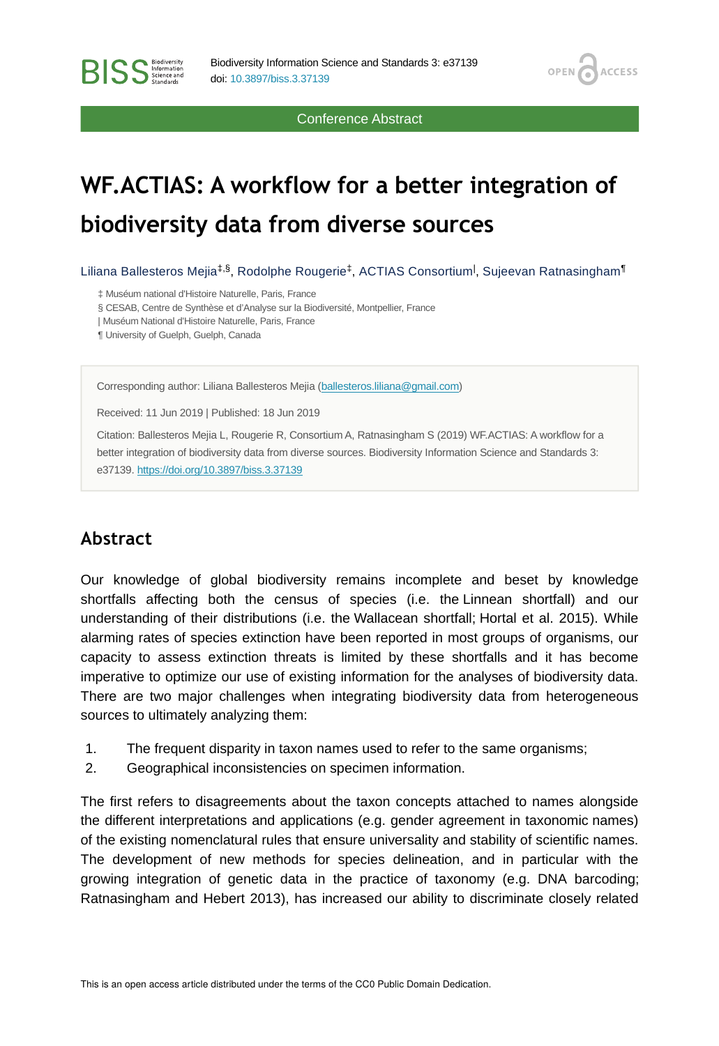Conference Abstract

**OPEN** 

**ACCESS** 

# **WF.ACTIAS: A workflow for a better integration of biodiversity data from diverse sources**

Liliana Ballesteros Mejia<sup>‡,§</sup>, Rodolphe Rougerie<sup>‡</sup>, ACTIAS Consortium<sup>l</sup>, Sujeevan Ratnasingham<sup>¶</sup>

‡ Muséum national d'Histoire Naturelle, Paris, France

§ CESAB, Centre de Synthèse et d'Analyse sur la Biodiversité, Montpellier, France

| Muséum National d'Histoire Naturelle, Paris, France

¶ University of Guelph, Guelph, Canada

**BISS** Steince and

Corresponding author: Liliana Ballesteros Mejia ([ballesteros.liliana@gmail.com](mailto:ballesteros.liliana@gmail.com))

Received: 11 Jun 2019 | Published: 18 Jun 2019

Citation: Ballesteros Mejia L, Rougerie R, Consortium A, Ratnasingham S (2019) WF.ACTIAS: A workflow for a better integration of biodiversity data from diverse sources. Biodiversity Information Science and Standards 3: e37139.<https://doi.org/10.3897/biss.3.37139>

### **Abstract**

Our knowledge of global biodiversity remains incomplete and beset by knowledge shortfalls affecting both the census of species (i.e. the Linnean shortfall) and our understanding of their distributions (i.e. the Wallacean shortfall; Hortal et al. 2015). While alarming rates of species extinction have been reported in most groups of organisms, our capacity to assess extinction threats is limited by these shortfalls and it has become imperative to optimize our use of existing information for the analyses of biodiversity data. There are two major challenges when integrating biodiversity data from heterogeneous sources to ultimately analyzing them:

- 1. The frequent disparity in taxon names used to refer to the same organisms;
- 2. Geographical inconsistencies on specimen information.

The first refers to disagreements about the taxon concepts attached to names alongside the different interpretations and applications (e.g. gender agreement in taxonomic names) of the existing nomenclatural rules that ensure universality and stability of scientific names. The development of new methods for species delineation, and in particular with the growing integration of genetic data in the practice of taxonomy (e.g. DNA barcoding; Ratnasingham and Hebert 2013), has increased our ability to discriminate closely related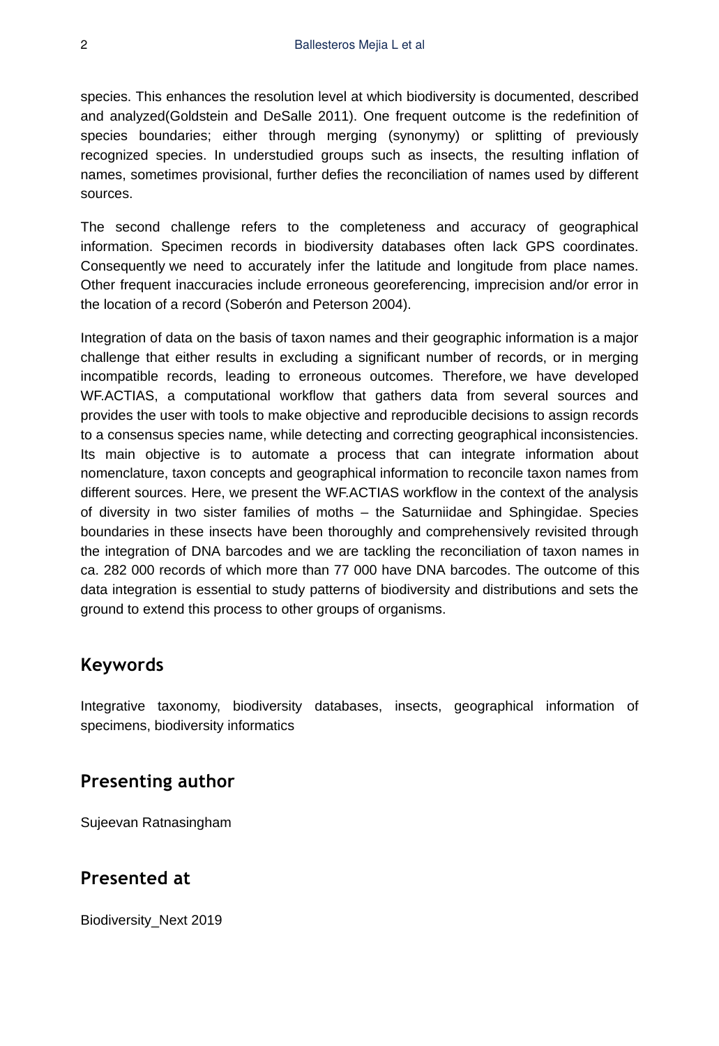species. This enhances the resolution level at which biodiversity is documented, described and analyzed(Goldstein and DeSalle 2011). One frequent outcome is the redefinition of species boundaries; either through merging (synonymy) or splitting of previously recognized species. In understudied groups such as insects, the resulting inflation of names, sometimes provisional, further defies the reconciliation of names used by different sources.

The second challenge refers to the completeness and accuracy of geographical information. Specimen records in biodiversity databases often lack GPS coordinates. Consequently we need to accurately infer the latitude and longitude from place names. Other frequent inaccuracies include erroneous georeferencing, imprecision and/or error in the location of a record (Soberón and Peterson 2004).

Integration of data on the basis of taxon names and their geographic information is a major challenge that either results in excluding a significant number of records, or in merging incompatible records, leading to erroneous outcomes. Therefore, we have developed WF.ACTIAS, a computational workflow that gathers data from several sources and provides the user with tools to make objective and reproducible decisions to assign records to a consensus species name, while detecting and correcting geographical inconsistencies. Its main objective is to automate a process that can integrate information about nomenclature, taxon concepts and geographical information to reconcile taxon names from different sources. Here, we present the WF.ACTIAS workflow in the context of the analysis of diversity in two sister families of moths – the Saturniidae and Sphingidae. Species boundaries in these insects have been thoroughly and comprehensively revisited through the integration of DNA barcodes and we are tackling the reconciliation of taxon names in ca. 282 000 records of which more than 77 000 have DNA barcodes. The outcome of this data integration is essential to study patterns of biodiversity and distributions and sets the ground to extend this process to other groups of organisms.

#### **Keywords**

Integrative taxonomy, biodiversity databases, insects, geographical information of specimens, biodiversity informatics

### **Presenting author**

Sujeevan Ratnasingham

## **Presented at**

Biodiversity\_Next 2019